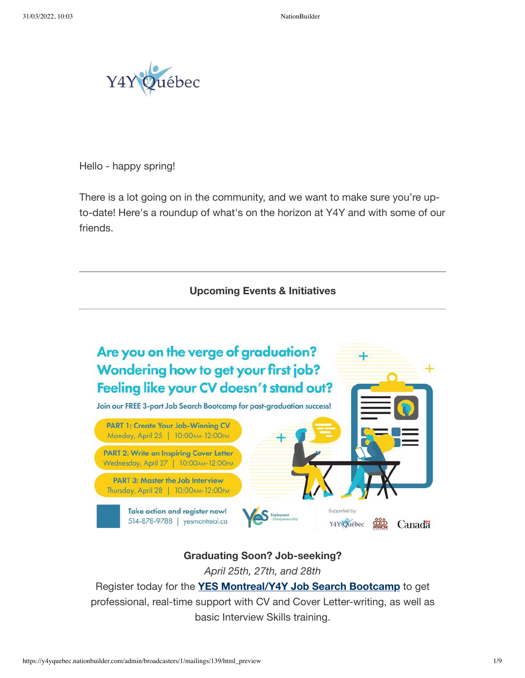

Hello - happy spring!

There is a lot going on in the community, and we want to make sure you're upto-date! Here's a roundup of what's on the horizon at Y4Y and with some of our friends.

#### **Upcoming Events & Initiatives**



# **Graduating Soon? Job-seeking?**

*April 25th, 27th, and 28th*

Register today for the **YES [Montreal/Y4Y](https://join.y4yquebec.org/r?u=uuUyPGiVHWR_V3cUbcvCWbJvIjN_nJ41Kq2Eqj3x77dSgO-O-PgLxSyR10dU5bYTeoSIcgi14HaRQV-z1jvQG5J5kyKOgfUdrkcW8QAiNOiBdD-s3AbByw5WLkMTEUI6&e=110be1e915982447bb0e8e260c04e080&utm_source=y4yquebec&utm_medium=email&utm_campaign=tes_test&n=2&test_email=1) Job Search Bootcamp** to get professional, real-time support with CV and Cover Letter-writing, as well as basic Interview Skills training.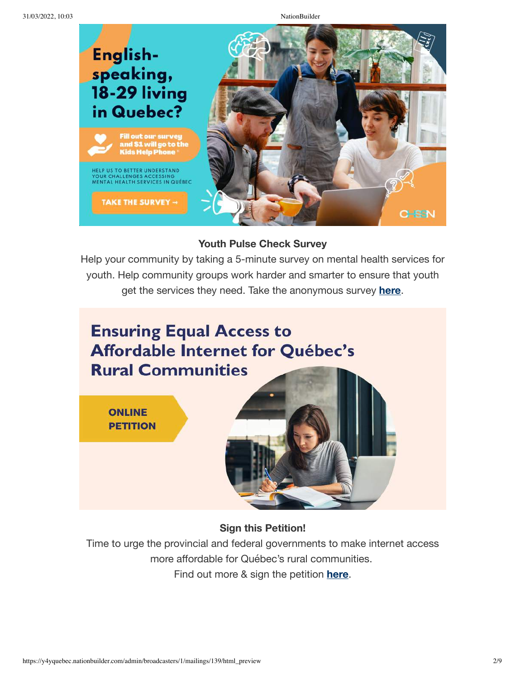

### **Youth Pulse Check Survey**

Help your community by taking a 5-minute survey on mental health services for youth. Help community groups work harder and smarter to ensure that youth get the services they need. Take the anonymous survey **[here](https://join.y4yquebec.org/r?u=684o2iVD90adKwcSrr3a9HJ8tReha5n_CXbZn1-iRXcn48dmpa4GmglZB9yLu3u4&e=110be1e915982447bb0e8e260c04e080&utm_source=y4yquebec&utm_medium=email&utm_campaign=tes_test&n=3&test_email=1)**.



**Sign this Petition!**

Time to urge the provincial and federal governments to make internet access more affordable for Québec's rural communities. Find out more & sign the petition **[here](https://join.y4yquebec.org/ensuring_equal_access_to_affordable_internet_for_qu_bec_s_rural_communities?e=110be1e915982447bb0e8e260c04e080&utm_source=y4yquebec&utm_medium=email&utm_campaign=tes_test&n=4&test_email=1)**.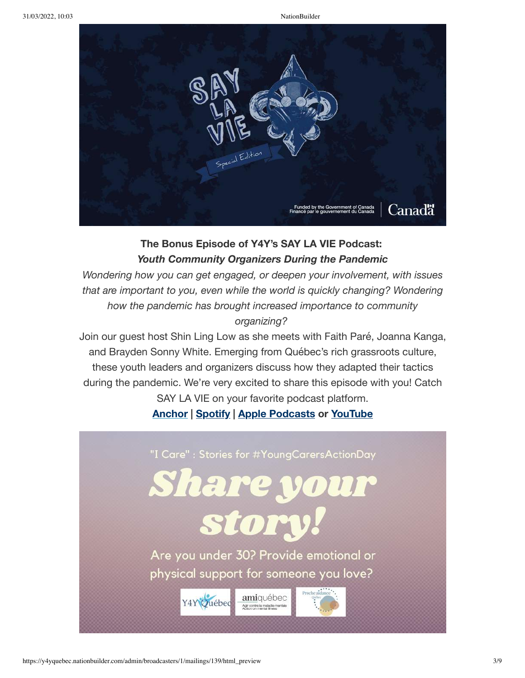

# **The Bonus Episode of Y4Y's SAY LA VIE Podcast:** *Youth Community Organizers During the Pandemic*

*Wondering how you can get engaged, or deepen your involvement, with issues that are important to you, even while the world is quickly changing? Wondering how the pandemic has brought increased importance to community organizing?*

Join our guest host Shin Ling Low as she meets with Faith Paré, Joanna Kanga, and Brayden Sonny White. Emerging from Québec's rich grassroots culture, these youth leaders and organizers discuss how they adapted their tactics during the pandemic. We're very excited to share this episode with you! Catch SAY LA VIE on your favorite podcast platform.

# **[Anchor](https://join.y4yquebec.org/r?u=QMYCTjKk6V0ahc0cRhEOht-J7tAhXjeJP2l0uE30IVQ&e=110be1e915982447bb0e8e260c04e080&utm_source=y4yquebec&utm_medium=email&utm_campaign=tes_test&n=5&test_email=1) | [Spotify](https://join.y4yquebec.org/r?u=WdxZv57OEtmDvsx-JyIJwEpoccZGPC55r1JFUdm4S7NLZhZZeCFey2hrOOcVk52DyqmPpeSqrFY9ZAO-sB1QJw&e=110be1e915982447bb0e8e260c04e080&utm_source=y4yquebec&utm_medium=email&utm_campaign=tes_test&n=6&test_email=1) | Apple [Podcasts](https://join.y4yquebec.org/r?u=ShFaE4UMkbUbrBGAfRo6cVmRPTkICfuEmQlIXuBCrISUaIzBX8K62_jtSmMA747JxxDwuqI6z8Q7GEFoza3KsA&e=110be1e915982447bb0e8e260c04e080&utm_source=y4yquebec&utm_medium=email&utm_campaign=tes_test&n=7&test_email=1) or [YouTube](https://join.y4yquebec.org/r?u=GQ96LxW7tJscudkL8mlwNzVEKXk7dMDJzwJlfbbiiRZVVgVeVOhcqNXoOGNhHxe7&e=110be1e915982447bb0e8e260c04e080&utm_source=y4yquebec&utm_medium=email&utm_campaign=tes_test&n=8&test_email=1)**

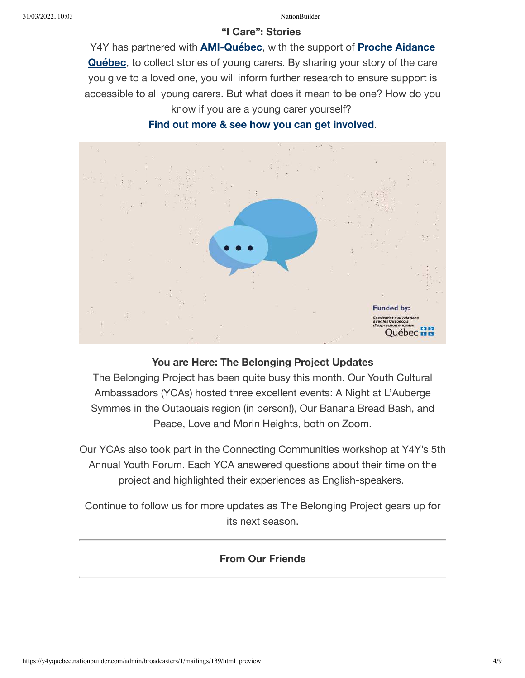#### **"I Care": Stories**

Y4Y [has partnered](https://join.y4yquebec.org/r?u=AZJXlqUPOVry2QTeFDnce8wpDKoyGFQhegYj7b1ik4F8VOBsFHgfYv7gh-zKipCQT2alEyGIAY29_8psboRKN0qLTXnd5VJqx_ZB7HxhreY4B_hv8dQidrIMN2D1ielEGJmhz8C8FmgZoNaTrVGgsgewu2-4fqu48GAcaVTBuaQ&e=110be1e915982447bb0e8e260c04e080&utm_source=y4yquebec&utm_medium=email&utm_campaign=tes_test&n=10&test_email=1) with **[AMI-Québec](https://join.y4yquebec.org/r?u=RiBNmiOI_2ynCT20xHZXShDAX5YgbJbRDtc1nztUT8_-u3f3WDhVgO_rGf0kvt438lk8Sbl0R8o4YlZymr_HFU03XDH-QKvpPCKF9CgCaShOWlZP2IJW6C2ybIEj1HRgyD3Z-5oMFRyjpuHF2NyXGLe2hGTdDqclIaiqfXgrcpASY_SPH7zTE3hrxTiHG8a8A9NqUVJFYfPFYF7So9i5IbyZRBf9M4Xv9L6aECB0_Wj-qgC02BVOt6FT78wCVHjr&e=110be1e915982447bb0e8e260c04e080&utm_source=y4yquebec&utm_medium=email&utm_campaign=tes_test&n=9&test_email=1)**, with the support of **Proche Aidance Québec**, to collect stories of young carers. By sharing your story of the care you give to a loved one, you will inform further research to ensure support is accessible to all young carers. But what does it mean to be one? How do you know if you are a young carer yourself?

**Find out more & see how you can get [involved](https://join.y4yquebec.org/r?u=RiBNmiOI_2ynCT20xHZXSgafaIqx_mgDY7iRzmDxIeKv3Xb662pffEj6a69tLsTl&e=110be1e915982447bb0e8e260c04e080&utm_source=y4yquebec&utm_medium=email&utm_campaign=tes_test&n=11&test_email=1)**.



## **You are Here: The Belonging Project Updates**

The Belonging Project has been quite busy this month. Our Youth Cultural Ambassadors (YCAs) hosted three excellent events: A Night at L'Auberge Symmes in the Outaouais region (in person!), Our Banana Bread Bash, and Peace, Love and Morin Heights, both on Zoom.

Our YCAs also took part in the Connecting Communities workshop at Y4Y's 5th Annual Youth Forum. Each YCA answered questions about their time on the project and highlighted their experiences as English-speakers.

Continue to follow us for more updates as The Belonging Project gears up for its next season.

# **From Our Friends**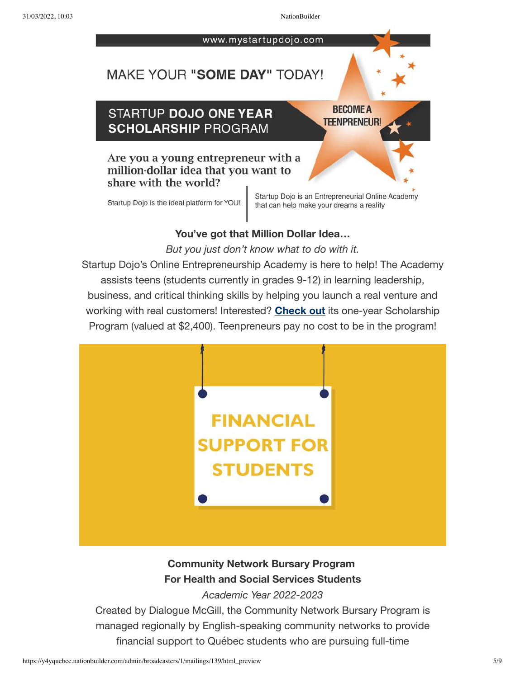www.mystartupdojo.com

# MAKE YOUR "SOME DAY" TODAY!

# STARTUP DOJO ONE YEAR **SCHOLARSHIP PROGRAM**

**BECOME A TEENPRENEUR!** 

# Are you a young entrepreneur with a million-dollar idea that you want to share with the world?

Startup Dojo is the ideal platform for YOU!

Startup Dojo is an Entrepreneurial Online Academy that can help make your dreams a reality

# **You've got that Million Dollar Idea…**

*But you just don't know what to do with it.*

Startup Dojo's Online Entrepreneurship Academy is here to help! The Academy assists teens (students currently in grades 9-12) in learning leadership, business, and critical thinking skills by helping you launch a real venture and working with real customers! Interested? **[Check](https://join.y4yquebec.org/r?u=pGG-ddkAj5l1qXnnCnA6AfJOQ6EVRUWYdFINljxtJ6soB0p_iLMZMjJ48dpEXbih&e=110be1e915982447bb0e8e260c04e080&utm_source=y4yquebec&utm_medium=email&utm_campaign=tes_test&n=12&test_email=1) out** its one-year Scholarship Program (valued at \$2,400). Teenpreneurs pay no cost to be in the program!



# **Community Network Bursary Program For Health and Social Services Students**

*Academic Year 2022-2023*

Created by Dialogue McGill, the Community Network Bursary Program is managed regionally by English-speaking community networks to provide financial support to Québec students who are pursuing full-time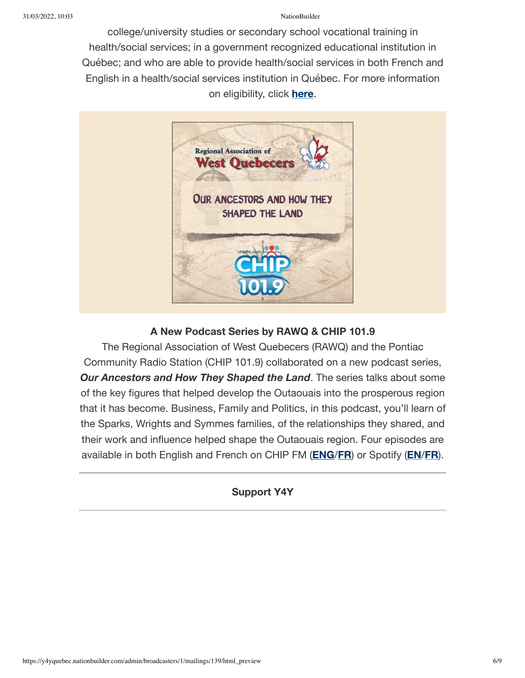college/university studies or secondary school vocational training in health/social services; in a government recognized educational institution in Québec; and who are able to provide health/social services in both French and English in a health/social services institution in Québec. For more information on eligibility, click **[here](https://join.y4yquebec.org/r?u=QqW_P6KHNz2UBR_vJvY75ZhdLfF8dJmk4Kx8TjRbdbPzN2YcYmhJjZn26QrnbzkJmPuPwj6jt_r3ezGQJa8u0g&e=110be1e915982447bb0e8e260c04e080&utm_source=y4yquebec&utm_medium=email&utm_campaign=tes_test&n=13&test_email=1)**.



# **A New Podcast Series by RAWQ & CHIP 101.9**

The Regional Association of West Quebecers (RAWQ) and the Pontiac Community Radio Station (CHIP 101.9) collaborated on a new podcast series, *Our Ancestors and How They Shaped the Land*. The series talks about some of the key figures that helped develop the Outaouais into the prosperous region that it has become. Business, Family and Politics, in this podcast, you'll learn of the Sparks, Wrights and Symmes families, of the relationships they shared, and their work and influence helped shape the Outaouais region. Four episodes are available in both English and French on CHIP FM (**[ENG](https://join.y4yquebec.org/r?u=nBekiAB5vAS8hultHsylpA2_8SWfKWi_TvJ_SsiB4KVHn_r4huu5RrH-fqHtpbN8Szrl9-WvR-aUeTIucSjc4w&e=110be1e915982447bb0e8e260c04e080&utm_source=y4yquebec&utm_medium=email&utm_campaign=tes_test&n=14&test_email=1)**/**[FR](https://join.y4yquebec.org/r?u=LyEZSS2Th3wZBLaErr8f4j9JBEteqTFwzIqRoxhl01ybBdYej-k__HStA_YbVpS7s3mliVBE0sxTxmimwwclpLUJLd0-V58ll1MU1t-94VU&e=110be1e915982447bb0e8e260c04e080&utm_source=y4yquebec&utm_medium=email&utm_campaign=tes_test&n=15&test_email=1)**) or Spotify (**[EN](https://join.y4yquebec.org/r?u=WdxZv57OEtmDvsx-JyIJwJMrJxaB1Ntcn8OmalaPJ3rpP8rr-7ml3B44bl1HmS-9HoSgYpJ0c618S59z0qlxiQ&e=110be1e915982447bb0e8e260c04e080&utm_source=y4yquebec&utm_medium=email&utm_campaign=tes_test&n=16&test_email=1)**/**[FR](https://join.y4yquebec.org/r?u=WdxZv57OEtmDvsx-JyIJwNJNIsNh4h4um9DvWQxJ5X--CANAx_-h-UOVuNBYvD33pt15SAkG7TQxlzYOdUIwCA&e=110be1e915982447bb0e8e260c04e080&utm_source=y4yquebec&utm_medium=email&utm_campaign=tes_test&n=17&test_email=1)**).

# **Support Y4Y**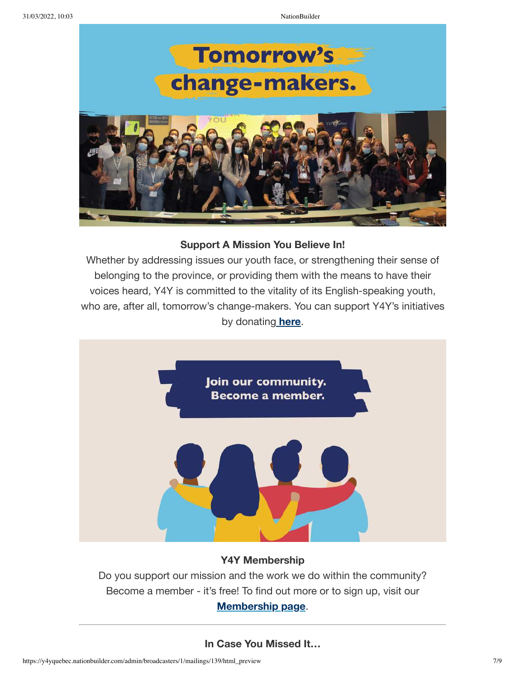

### **Support A Mission You Believe In!**

Whether by addressing issues our youth face, or strengthening their sense of belonging to the province, or providing them with the means to have their voices heard, Y4Y is committed to the vitality of its English-speaking youth, who are, after all, tomorrow's change-makers. You can support Y4Y's initiatives by donating **[here](https://join.y4yquebec.org/donate?e=110be1e915982447bb0e8e260c04e080&utm_source=y4yquebec&utm_medium=email&utm_campaign=tes_test&n=18&test_email=1)**.



# **Y4Y Membership**

Do you support our mission and the work we do within the community? Become a member - it's free! To find out more or to sign up, visit our **[M](https://join.y4yquebec.org/membership2021_2?e=110be1e915982447bb0e8e260c04e080&utm_source=y4yquebec&utm_medium=email&utm_campaign=tes_test&n=19&test_email=1)[embership](https://join.y4yquebec.org/membership2021_2?e=110be1e915982447bb0e8e260c04e080&utm_source=y4yquebec&utm_medium=email&utm_campaign=tes_test&n=20&test_email=1) page**.

# **In Case You Missed It…**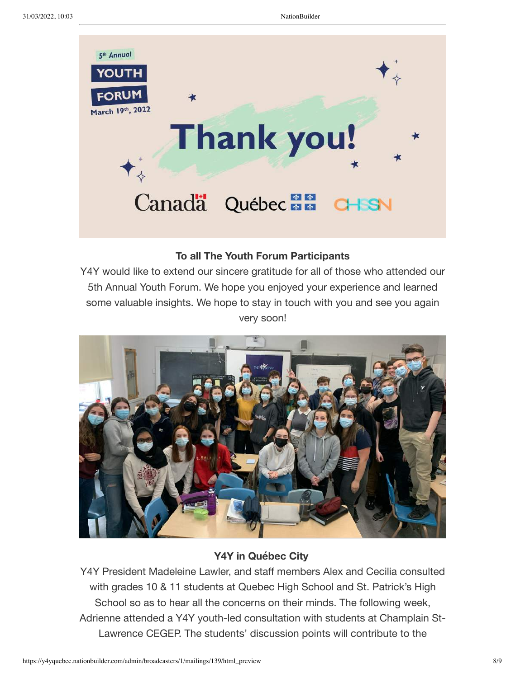

# **To all The Youth Forum Participants**

Y4Y would like to extend our sincere gratitude for all of those who attended our 5th Annual Youth Forum. We hope you enjoyed your experience and learned some valuable insights. We hope to stay in touch with you and see you again very soon!



# **Y4Y in Québec City**

Y4Y President Madeleine Lawler, and staff members Alex and Cecilia consulted with grades 10 & 11 students at Quebec High School and St. Patrick's High School so as to hear all the concerns on their minds. The following week, Adrienne attended a Y4Y youth-led consultation with students at Champlain St-Lawrence CEGEP. The students' discussion points will contribute to the